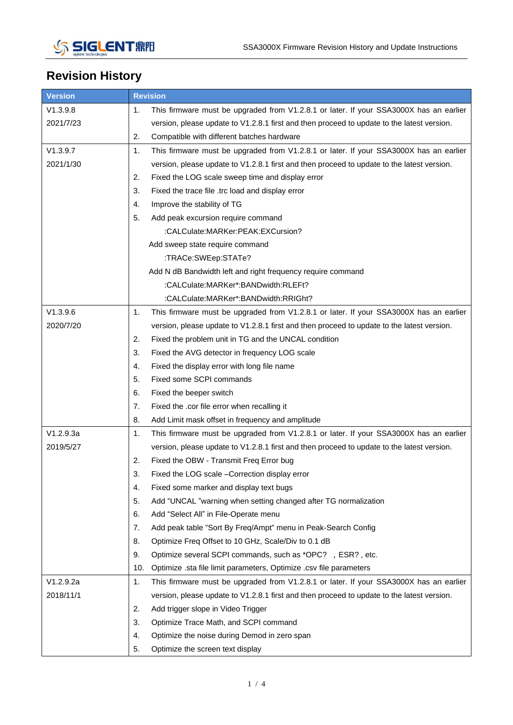

## **Revision History**

| <b>Version</b> | <b>Revision</b>                                                                              |
|----------------|----------------------------------------------------------------------------------------------|
| V1.3.9.8       | This firmware must be upgraded from V1.2.8.1 or later. If your SSA3000X has an earlier<br>1. |
| 2021/7/23      | version, please update to V1.2.8.1 first and then proceed to update to the latest version.   |
|                | 2.<br>Compatible with different batches hardware                                             |
| V1.3.9.7       | This firmware must be upgraded from V1.2.8.1 or later. If your SSA3000X has an earlier<br>1. |
| 2021/1/30      | version, please update to V1.2.8.1 first and then proceed to update to the latest version.   |
|                | 2.<br>Fixed the LOG scale sweep time and display error                                       |
|                | 3.<br>Fixed the trace file .trc load and display error                                       |
|                | 4.<br>Improve the stability of TG                                                            |
|                | 5.<br>Add peak excursion require command                                                     |
|                | :CALCulate:MARKer:PEAK:EXCursion?                                                            |
|                | Add sweep state require command                                                              |
|                | :TRACe:SWEep:STATe?                                                                          |
|                | Add N dB Bandwidth left and right frequency require command                                  |
|                | :CALCulate:MARKer*:BANDwidth:RLEFt?                                                          |
|                | :CALCulate:MARKer*:BANDwidth:RRIGht?                                                         |
| V1.3.9.6       | 1.<br>This firmware must be upgraded from V1.2.8.1 or later. If your SSA3000X has an earlier |
| 2020/7/20      | version, please update to V1.2.8.1 first and then proceed to update to the latest version.   |
|                | 2.<br>Fixed the problem unit in TG and the UNCAL condition                                   |
|                | 3.<br>Fixed the AVG detector in frequency LOG scale                                          |
|                | 4.<br>Fixed the display error with long file name                                            |
|                | 5.<br>Fixed some SCPI commands                                                               |
|                | 6.<br>Fixed the beeper switch                                                                |
|                | 7.<br>Fixed the .cor file error when recalling it                                            |
|                | 8.<br>Add Limit mask offset in frequency and amplitude                                       |
| V1.2.9.3a      | 1.<br>This firmware must be upgraded from V1.2.8.1 or later. If your SSA3000X has an earlier |
| 2019/5/27      | version, please update to V1.2.8.1 first and then proceed to update to the latest version.   |
|                | 2.<br>Fixed the OBW - Transmit Freq Error bug                                                |
|                | 3.<br>Fixed the LOG scale -Correction display error                                          |
|                | 4.<br>Fixed some marker and display text bugs                                                |
|                | 5.<br>Add "UNCAL "warning when setting changed after TG normalization                        |
|                | 6.<br>Add "Select All" in File-Operate menu                                                  |
|                | 7.<br>Add peak table "Sort By Freq/Ampt" menu in Peak-Search Config                          |
|                | 8.<br>Optimize Freq Offset to 10 GHz, Scale/Div to 0.1 dB                                    |
|                | 9.<br>Optimize several SCPI commands, such as *OPC? , ESR?, etc.                             |
|                | 10.<br>Optimize .sta file limit parameters, Optimize .csv file parameters                    |
| V1.2.9.2a      | 1.<br>This firmware must be upgraded from V1.2.8.1 or later. If your SSA3000X has an earlier |
| 2018/11/1      | version, please update to V1.2.8.1 first and then proceed to update to the latest version.   |
|                | 2.<br>Add trigger slope in Video Trigger                                                     |
|                | 3.<br>Optimize Trace Math, and SCPI command                                                  |
|                | 4.<br>Optimize the noise during Demod in zero span                                           |
|                | 5.<br>Optimize the screen text display                                                       |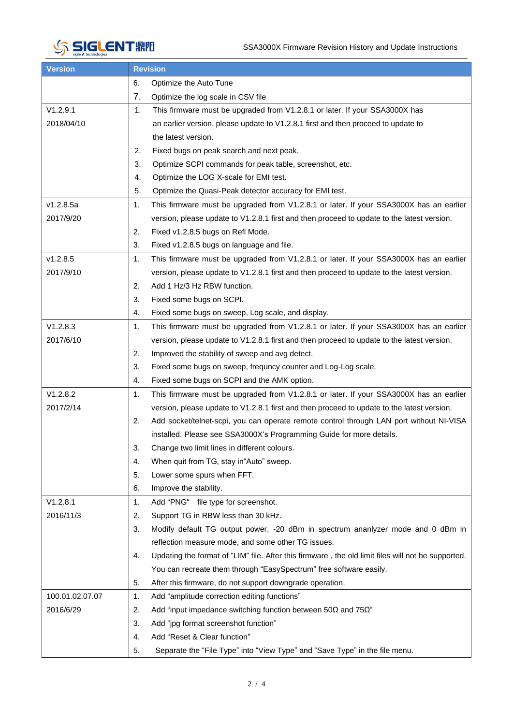

| <b>Version</b>  |    | <b>Revision</b>                                                                                    |  |  |  |  |  |  |
|-----------------|----|----------------------------------------------------------------------------------------------------|--|--|--|--|--|--|
|                 | 6. | Optimize the Auto Tune                                                                             |  |  |  |  |  |  |
|                 | 7. | Optimize the log scale in CSV file                                                                 |  |  |  |  |  |  |
| V1.2.9.1        | 1. | This firmware must be upgraded from V1.2.8.1 or later. If your SSA3000X has                        |  |  |  |  |  |  |
| 2018/04/10      |    | an earlier version, please update to V1.2.8.1 first and then proceed to update to                  |  |  |  |  |  |  |
|                 |    | the latest version.                                                                                |  |  |  |  |  |  |
|                 | 2. | Fixed bugs on peak search and next peak.                                                           |  |  |  |  |  |  |
|                 | 3. | Optimize SCPI commands for peak table, screenshot, etc.                                            |  |  |  |  |  |  |
|                 | 4. | Optimize the LOG X-scale for EMI test.                                                             |  |  |  |  |  |  |
|                 | 5. | Optimize the Quasi-Peak detector accuracy for EMI test.                                            |  |  |  |  |  |  |
| v1.2.8.5a       | 1. | This firmware must be upgraded from V1.2.8.1 or later. If your SSA3000X has an earlier             |  |  |  |  |  |  |
| 2017/9/20       |    | version, please update to V1.2.8.1 first and then proceed to update to the latest version.         |  |  |  |  |  |  |
|                 | 2. | Fixed v1.2.8.5 bugs on Refl Mode.                                                                  |  |  |  |  |  |  |
|                 | 3. | Fixed v1.2.8.5 bugs on language and file.                                                          |  |  |  |  |  |  |
| v1.2.8.5        | 1. | This firmware must be upgraded from V1.2.8.1 or later. If your SSA3000X has an earlier             |  |  |  |  |  |  |
| 2017/9/10       |    | version, please update to V1.2.8.1 first and then proceed to update to the latest version.         |  |  |  |  |  |  |
|                 | 2. | Add 1 Hz/3 Hz RBW function.                                                                        |  |  |  |  |  |  |
|                 | 3. | Fixed some bugs on SCPI.                                                                           |  |  |  |  |  |  |
|                 | 4. | Fixed some bugs on sweep, Log scale, and display.                                                  |  |  |  |  |  |  |
| V1.2.8.3        | 1. | This firmware must be upgraded from V1.2.8.1 or later. If your SSA3000X has an earlier             |  |  |  |  |  |  |
| 2017/6/10       |    | version, please update to V1.2.8.1 first and then proceed to update to the latest version.         |  |  |  |  |  |  |
|                 | 2. | Improved the stability of sweep and avg detect.                                                    |  |  |  |  |  |  |
|                 | 3. | Fixed some bugs on sweep, frequncy counter and Log-Log scale.                                      |  |  |  |  |  |  |
|                 | 4. | Fixed some bugs on SCPI and the AMK option.                                                        |  |  |  |  |  |  |
| V1.2.8.2        | 1. | This firmware must be upgraded from V1.2.8.1 or later. If your SSA3000X has an earlier             |  |  |  |  |  |  |
| 2017/2/14       |    | version, please update to V1.2.8.1 first and then proceed to update to the latest version.         |  |  |  |  |  |  |
|                 | 2. | Add socket/telnet-scpi, you can operate remote control through LAN port without NI-VISA            |  |  |  |  |  |  |
|                 |    | installed. Please see SSA3000X's Programming Guide for more details.                               |  |  |  |  |  |  |
|                 | 3. | Change two limit lines in different colours.                                                       |  |  |  |  |  |  |
|                 | 4. | When quit from TG, stay in "Auto" sweep.                                                           |  |  |  |  |  |  |
|                 | 5. | Lower some spurs when FFT.                                                                         |  |  |  |  |  |  |
|                 | 6. | Improve the stability.                                                                             |  |  |  |  |  |  |
| V1.2.8.1        | 1. | Add "PNG" file type for screenshot.                                                                |  |  |  |  |  |  |
| 2016/11/3       | 2. | Support TG in RBW less than 30 kHz.                                                                |  |  |  |  |  |  |
|                 | 3. | Modify default TG output power, -20 dBm in spectrum ananlyzer mode and 0 dBm in                    |  |  |  |  |  |  |
|                 |    | reflection measure mode, and some other TG issues.                                                 |  |  |  |  |  |  |
|                 | 4. | Updating the format of "LIM" file. After this firmware, the old limit files will not be supported. |  |  |  |  |  |  |
|                 |    | You can recreate them through "EasySpectrum" free software easily.                                 |  |  |  |  |  |  |
|                 | 5. | After this firmware, do not support downgrade operation.                                           |  |  |  |  |  |  |
| 100.01.02.07.07 | 1. | Add "amplitude correction editing functions"                                                       |  |  |  |  |  |  |
| 2016/6/29       | 2. | Add "input impedance switching function between 50 $\Omega$ and 75 $\Omega$ "                      |  |  |  |  |  |  |
|                 | 3. | Add "jpg format screenshot function"                                                               |  |  |  |  |  |  |
|                 | 4. | Add "Reset & Clear function"                                                                       |  |  |  |  |  |  |
|                 | 5. | Separate the "File Type" into "View Type" and "Save Type" in the file menu.                        |  |  |  |  |  |  |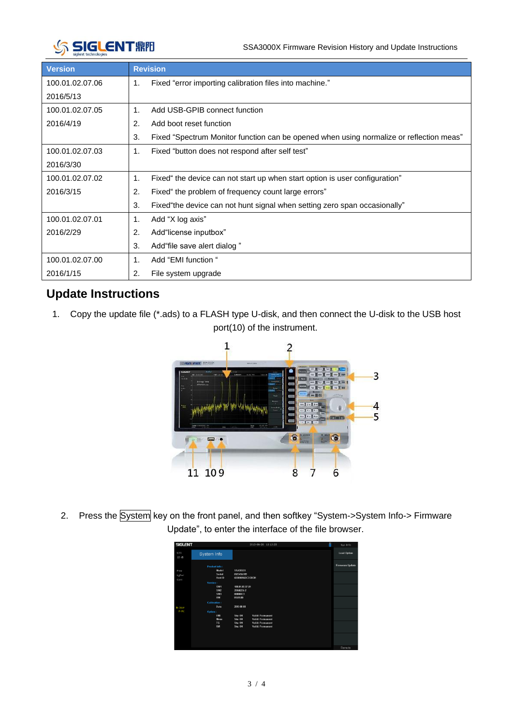

| <b>Version</b>  | <b>Revision</b>                                                                               |  |  |  |  |  |  |
|-----------------|-----------------------------------------------------------------------------------------------|--|--|--|--|--|--|
| 100.01.02.07.06 | Fixed "error importing calibration files into machine."<br>1.                                 |  |  |  |  |  |  |
| 2016/5/13       |                                                                                               |  |  |  |  |  |  |
| 100.01.02.07.05 | $\mathbf 1$ .<br>Add USB-GPIB connect function                                                |  |  |  |  |  |  |
| 2016/4/19       | 2.<br>Add boot reset function                                                                 |  |  |  |  |  |  |
|                 | 3.<br>Fixed "Spectrum Monitor function can be opened when using normalize or reflection meas" |  |  |  |  |  |  |
| 100.01.02.07.03 | Fixed "button does not respond after self test"<br>1.                                         |  |  |  |  |  |  |
| 2016/3/30       |                                                                                               |  |  |  |  |  |  |
| 100.01.02.07.02 | Fixed" the device can not start up when start option is user configuration"<br>1.             |  |  |  |  |  |  |
| 2016/3/15       | 2.<br>Fixed" the problem of frequency count large errors"                                     |  |  |  |  |  |  |
|                 | 3.<br>Fixed the device can not hunt signal when setting zero span occasionally"               |  |  |  |  |  |  |
| 100.01.02.07.01 | Add "X log axis"<br>1.                                                                        |  |  |  |  |  |  |
| 2016/2/29       | 2.<br>Add"license inputbox"                                                                   |  |  |  |  |  |  |
|                 | 3.<br>Add"file save alert dialog"                                                             |  |  |  |  |  |  |
| 100.01.02.07.00 | Add "EMI function "<br>1.                                                                     |  |  |  |  |  |  |
| 2016/1/15       | 2.<br>File system upgrade                                                                     |  |  |  |  |  |  |

## **Update Instructions**

1. Copy the update file (\*.ads) to a FLASH type U-disk, and then connect the U-disk to the USB host port(10) of the instrument.



2. Press the System key on the front panel, and then softkey "System->System Info-> Firmware Update", to enter the interface of the file browser.

| <b>SIGLENT</b> |                               | ñ<br>2013-06-26 13:13:25           | Sys Info               |
|----------------|-------------------------------|------------------------------------|------------------------|
| LOG<br>10 dB   | System Info                   |                                    | <b>Load Option</b>     |
| Free           | <b>Product info:</b><br>Model | <b>SSA3032X</b>                    | <b>Firmware Update</b> |
| LaPwr          | Serial                        | 0123456789                         |                        |
|                | Host ID                       | 60000016DC3C0C01                   |                        |
| Cont           | Version:                      |                                    |                        |
|                | SW1                           | 100.01.02.07.01                    |                        |
|                | SW2                           | 20160226.2                         |                        |
|                | SW3                           | 000000C1                           |                        |
|                | HW                            | 01.01.00                           |                        |
|                | <b>Calibration:</b>           |                                    |                        |
| A CBW          | Date                          | 2015-00-00                         |                        |
| $P-PK$         | Option:                       |                                    |                        |
|                | EMI                           | <b>Valid: Permanent</b><br>Sta: ON |                        |
|                | Meas                          | <b>Valid: Permanent</b><br>Sta: ON |                        |
|                | TG.                           | Sta: ON<br>Valid: Permanent        |                        |
|                | <b>RM</b>                     | <b>Valid: Permanent</b><br>Sta: ON |                        |
|                |                               |                                    |                        |
|                |                               |                                    |                        |
|                |                               |                                    |                        |
|                |                               |                                    |                        |
|                |                               |                                    | Remote                 |